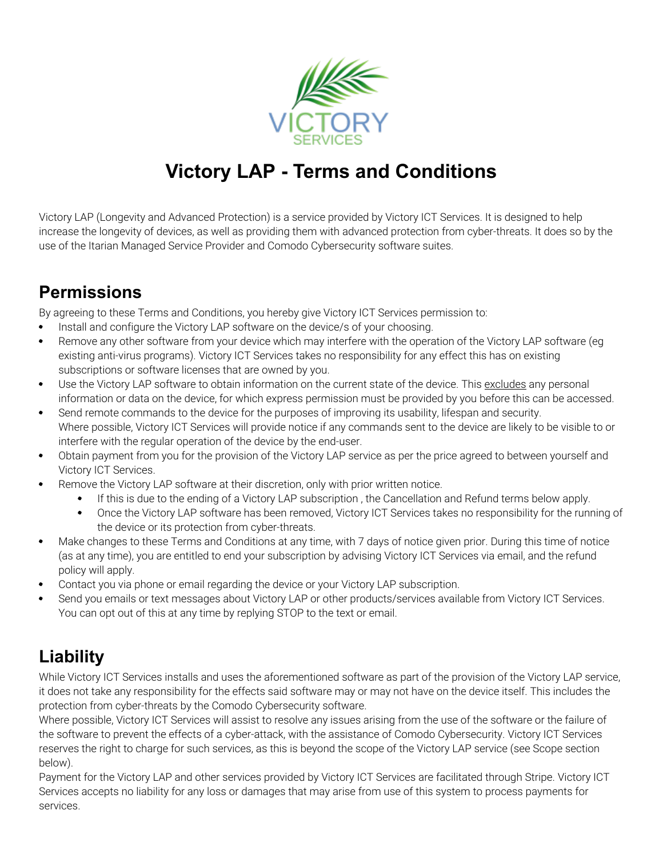

# **Victory LAP - Terms and Conditions**

Victory LAP (Longevity and Advanced Protection) is a service provided by Victory ICT Services. It is designed to help increase the longevity of devices, as well as providing them with advanced protection from cyber-threats. It does so by the use of the Itarian Managed Service Provider and Comodo Cybersecurity software suites.

### **Permissions**

By agreeing to these Terms and Conditions, you hereby give Victory ICT Services permission to:

- $\bullet$ Install and configure the Victory LAP software on the device/s of your choosing.
- Remove any other software from your device which may interfere with the operation of the Victory LAP software (eg existing anti-virus programs). Victory ICT Services takes no responsibility for any effect this has on existing subscriptions or software licenses that are owned by you.
- $\bullet$ Use the Victory LAP software to obtain information on the current state of the device. This excludes any personal information or data on the device, for which express permission must be provided by you before this can be accessed.
- Send remote commands to the device for the purposes of improving its usability, lifespan and security. Where possible, Victory ICT Services will provide notice if any commands sent to the device are likely to be visible to or interfere with the regular operation of the device by the end-user.
- Obtain payment from you for the provision of the Victory LAP service as per the price agreed to between yourself and  $\bullet$ Victory ICT Services.
- Remove the Victory LAP software at their discretion, only with prior written notice.  $\bullet$ 
	- $\bullet$ If this is due to the ending of a Victory LAP subscription , the Cancellation and Refund terms below apply.
	- $\bullet$ Once the Victory LAP software has been removed, Victory ICT Services takes no responsibility for the running of the device or its protection from cyber-threats.
- Make changes to these Terms and Conditions at any time, with 7 days of notice given prior. During this time of notice (as at any time), you are entitled to end your subscription by advising Victory ICT Services via email, and the refund policy will apply.
- Contact you via phone or email regarding the device or your Victory LAP subscription.
- Send you emails or text messages about Victory LAP or other products/services available from Victory ICT Services. You can opt out of this at any time by replying STOP to the text or email.

## **Liability**

While Victory ICT Services installs and uses the aforementioned software as part of the provision of the Victory LAP service, it does not take any responsibility for the effects said software may or may not have on the device itself. This includes the protection from cyber-threats by the Comodo Cybersecurity software.

Where possible, Victory ICT Services will assist to resolve any issues arising from the use of the software or the failure of the software to prevent the effects of a cyber-attack, with the assistance of Comodo Cybersecurity. Victory ICT Services reserves the right to charge for such services, as this is beyond the scope of the Victory LAP service (see Scope section below).

Payment for the Victory LAP and other services provided by Victory ICT Services are facilitated through Stripe. Victory ICT Services accepts no liability for any loss or damages that may arise from use of this system to process payments for services.